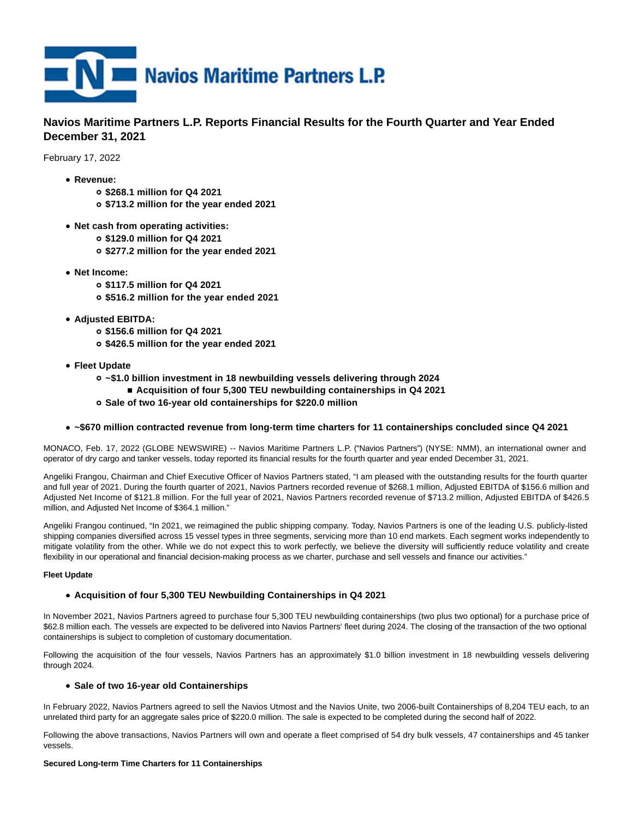

# **Navios Maritime Partners L.P. Reports Financial Results for the Fourth Quarter and Year Ended December 31, 2021**

February 17, 2022

- **Revenue:**
	- **\$268.1 million for Q4 2021**
	- **\$713.2 million for the year ended 2021**
- **Net cash from operating activities:**
	- **\$129.0 million for Q4 2021**
	- **\$277.2 million for the year ended 2021**
- **Net Income:**
	- **\$117.5 million for Q4 2021**
	- **\$516.2 million for the year ended 2021**
- **Adjusted EBITDA:**
	- **\$156.6 million for Q4 2021**
	- **\$426.5 million for the year ended 2021**
- **Fleet Update**
	- **~\$1.0 billion investment in 18 newbuilding vessels delivering through 2024**
		- **Acquisition of four 5,300 TEU newbuilding containerships in Q4 2021**
	- **Sale of two 16-year old containerships for \$220.0 million**

# **~\$670 million contracted revenue from long-term time charters for 11 containerships concluded since Q4 2021**

MONACO, Feb. 17, 2022 (GLOBE NEWSWIRE) -- Navios Maritime Partners L.P. ("Navios Partners") (NYSE: NMM), an international owner and operator of dry cargo and tanker vessels, today reported its financial results for the fourth quarter and year ended December 31, 2021.

Angeliki Frangou, Chairman and Chief Executive Officer of Navios Partners stated, "I am pleased with the outstanding results for the fourth quarter and full year of 2021. During the fourth quarter of 2021, Navios Partners recorded revenue of \$268.1 million, Adjusted EBITDA of \$156.6 million and Adjusted Net Income of \$121.8 million. For the full year of 2021, Navios Partners recorded revenue of \$713.2 million, Adjusted EBITDA of \$426.5 million, and Adjusted Net Income of \$364.1 million."

Angeliki Frangou continued, "In 2021, we reimagined the public shipping company. Today, Navios Partners is one of the leading U.S. publicly-listed shipping companies diversified across 15 vessel types in three segments, servicing more than 10 end markets. Each segment works independently to mitigate volatility from the other. While we do not expect this to work perfectly, we believe the diversity will sufficiently reduce volatility and create flexibility in our operational and financial decision-making process as we charter, purchase and sell vessels and finance our activities."

# **Fleet Update**

# **Acquisition of four 5,300 TEU Newbuilding Containerships in Q4 2021**

In November 2021, Navios Partners agreed to purchase four 5,300 TEU newbuilding containerships (two plus two optional) for a purchase price of \$62.8 million each. The vessels are expected to be delivered into Navios Partners' fleet during 2024. The closing of the transaction of the two optional containerships is subject to completion of customary documentation.

Following the acquisition of the four vessels, Navios Partners has an approximately \$1.0 billion investment in 18 newbuilding vessels delivering through 2024.

# **Sale of two 16-year old Containerships**

In February 2022, Navios Partners agreed to sell the Navios Utmost and the Navios Unite, two 2006-built Containerships of 8,204 TEU each, to an unrelated third party for an aggregate sales price of \$220.0 million. The sale is expected to be completed during the second half of 2022.

Following the above transactions, Navios Partners will own and operate a fleet comprised of 54 dry bulk vessels, 47 containerships and 45 tanker vessels.

#### **Secured Long-term Time Charters for 11 Containerships**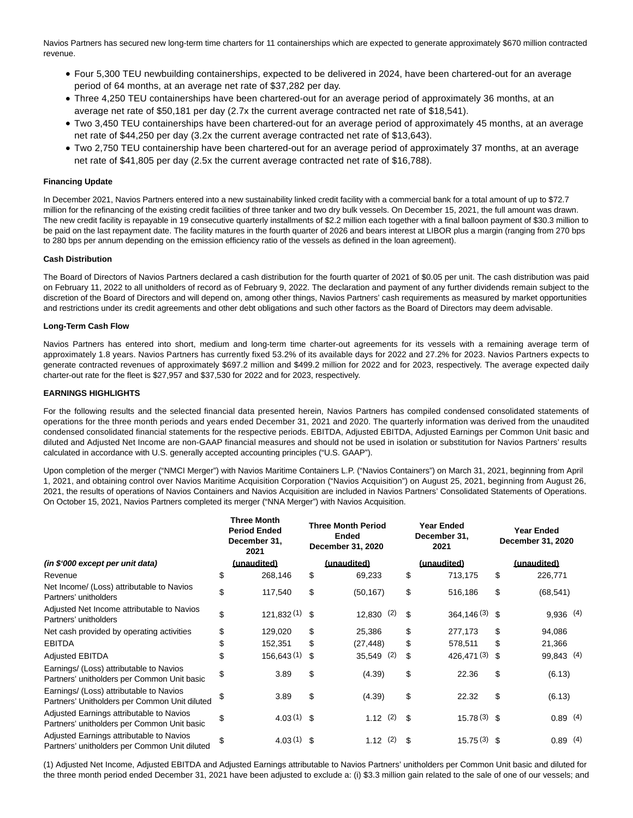Navios Partners has secured new long-term time charters for 11 containerships which are expected to generate approximately \$670 million contracted revenue.

- Four 5,300 TEU newbuilding containerships, expected to be delivered in 2024, have been chartered-out for an average period of 64 months, at an average net rate of \$37,282 per day.
- Three 4,250 TEU containerships have been chartered-out for an average period of approximately 36 months, at an average net rate of \$50,181 per day (2.7x the current average contracted net rate of \$18,541).
- Two 3,450 TEU containerships have been chartered-out for an average period of approximately 45 months, at an average net rate of \$44,250 per day (3.2x the current average contracted net rate of \$13,643).
- Two 2,750 TEU containership have been chartered-out for an average period of approximately 37 months, at an average net rate of \$41,805 per day (2.5x the current average contracted net rate of \$16,788).

# **Financing Update**

In December 2021, Navios Partners entered into a new sustainability linked credit facility with a commercial bank for a total amount of up to \$72.7 million for the refinancing of the existing credit facilities of three tanker and two dry bulk vessels. On December 15, 2021, the full amount was drawn. The new credit facility is repayable in 19 consecutive quarterly installments of \$2.2 million each together with a final balloon payment of \$30.3 million to be paid on the last repayment date. The facility matures in the fourth quarter of 2026 and bears interest at LIBOR plus a margin (ranging from 270 bps to 280 bps per annum depending on the emission efficiency ratio of the vessels as defined in the loan agreement).

# **Cash Distribution**

The Board of Directors of Navios Partners declared a cash distribution for the fourth quarter of 2021 of \$0.05 per unit. The cash distribution was paid on February 11, 2022 to all unitholders of record as of February 9, 2022. The declaration and payment of any further dividends remain subject to the discretion of the Board of Directors and will depend on, among other things, Navios Partners' cash requirements as measured by market opportunities and restrictions under its credit agreements and other debt obligations and such other factors as the Board of Directors may deem advisable.

# **Long-Term Cash Flow**

Navios Partners has entered into short, medium and long-term time charter-out agreements for its vessels with a remaining average term of approximately 1.8 years. Navios Partners has currently fixed 53.2% of its available days for 2022 and 27.2% for 2023. Navios Partners expects to generate contracted revenues of approximately \$697.2 million and \$499.2 million for 2022 and for 2023, respectively. The average expected daily charter-out rate for the fleet is \$27,957 and \$37,530 for 2022 and for 2023, respectively.

# **EARNINGS HIGHLIGHTS**

For the following results and the selected financial data presented herein, Navios Partners has compiled condensed consolidated statements of operations for the three month periods and years ended December 31, 2021 and 2020. The quarterly information was derived from the unaudited condensed consolidated financial statements for the respective periods. EBITDA, Adjusted EBITDA, Adjusted Earnings per Common Unit basic and diluted and Adjusted Net Income are non-GAAP financial measures and should not be used in isolation or substitution for Navios Partners' results calculated in accordance with U.S. generally accepted accounting principles ("U.S. GAAP").

Upon completion of the merger ("NMCI Merger") with Navios Maritime Containers L.P. ("Navios Containers") on March 31, 2021, beginning from April 1, 2021, and obtaining control over Navios Maritime Acquisition Corporation ("Navios Acquisition") on August 25, 2021, beginning from August 26, 2021, the results of operations of Navios Containers and Navios Acquisition are included in Navios Partners' Consolidated Statements of Operations. On October 15, 2021, Navios Partners completed its merger ("NNA Merger") with Navios Acquisition.

|                                                                                           | <b>Three Month</b><br><b>Period Ended</b><br>December 31,<br>2021 |     | <b>Three Month Period</b><br><b>Ended</b><br>December 31, 2020 |     | <b>Year Ended</b><br>December 31,<br>2021 | <b>Year Ended</b><br>December 31, 2020 |
|-------------------------------------------------------------------------------------------|-------------------------------------------------------------------|-----|----------------------------------------------------------------|-----|-------------------------------------------|----------------------------------------|
| (in \$'000 except per unit data)                                                          | (unaudited)                                                       |     | (unaudited)                                                    |     | (unaudited)                               | (unaudited)                            |
| Revenue                                                                                   | \$<br>268,146                                                     | \$  | 69,233                                                         | \$  | 713,175                                   | \$<br>226,771                          |
| Net Income/ (Loss) attributable to Navios<br>Partners' unitholders                        | \$<br>117,540                                                     | \$  | (50, 167)                                                      | \$  | 516,186                                   | \$<br>(68, 541)                        |
| Adjusted Net Income attributable to Navios<br>Partners' unitholders                       | \$<br>121,832(1)                                                  | -\$ | $12,830$ (2)                                                   | \$  | $364,146(3)$ \$                           | $9,936$ (4)                            |
| Net cash provided by operating activities                                                 | \$<br>129,020                                                     | \$  | 25,386                                                         | \$  | 277,173                                   | \$<br>94,086                           |
| <b>EBITDA</b>                                                                             | \$<br>152,351                                                     | \$  | (27,448)                                                       | \$  | 578,511                                   | \$<br>21,366                           |
| <b>Adjusted EBITDA</b>                                                                    | \$<br>156,643(1)                                                  | \$  | 35,549 (2)                                                     | \$  | 426,471(3)                                | \$<br>99,843 (4)                       |
| Earnings/ (Loss) attributable to Navios<br>Partners' unitholders per Common Unit basic    | \$<br>3.89                                                        | \$  | (4.39)                                                         | \$  | 22.36                                     | \$<br>(6.13)                           |
| Earnings/ (Loss) attributable to Navios<br>Partners' Unitholders per Common Unit diluted  | \$<br>3.89                                                        | \$  | (4.39)                                                         | \$  | 22.32                                     | \$<br>(6.13)                           |
| Adjusted Earnings attributable to Navios<br>Partners' unitholders per Common Unit basic   | \$<br>$4.03(1)$ \$                                                |     | 1.12(2)                                                        | \$. | $15.78(3)$ \$                             | 0.89(4)                                |
| Adjusted Earnings attributable to Navios<br>Partners' unitholders per Common Unit diluted | \$<br>4.03(1)                                                     | \$  | (2)<br>1.12                                                    | \$  | $15.75(3)$ \$                             | 0.89(4)                                |

(1) Adjusted Net Income, Adjusted EBITDA and Adjusted Earnings attributable to Navios Partners' unitholders per Common Unit basic and diluted for the three month period ended December 31, 2021 have been adjusted to exclude a: (i) \$3.3 million gain related to the sale of one of our vessels; and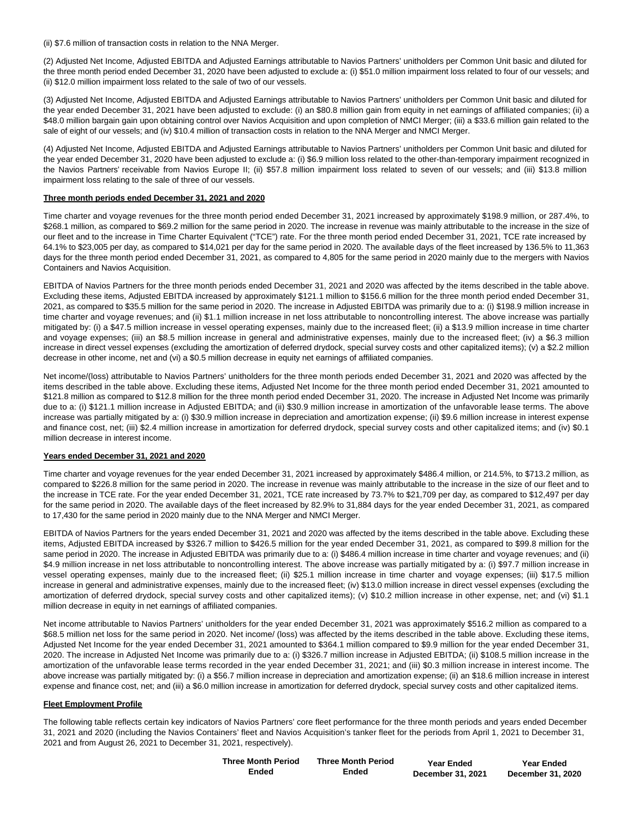(ii) \$7.6 million of transaction costs in relation to the NNA Merger.

(2) Adjusted Net Income, Adjusted EBITDA and Adjusted Earnings attributable to Navios Partners' unitholders per Common Unit basic and diluted for the three month period ended December 31, 2020 have been adjusted to exclude a: (i) \$51.0 million impairment loss related to four of our vessels; and (ii) \$12.0 million impairment loss related to the sale of two of our vessels.

(3) Adjusted Net Income, Adjusted EBITDA and Adjusted Earnings attributable to Navios Partners' unitholders per Common Unit basic and diluted for the year ended December 31, 2021 have been adjusted to exclude: (i) an \$80.8 million gain from equity in net earnings of affiliated companies; (ii) a \$48.0 million bargain gain upon obtaining control over Navios Acquisition and upon completion of NMCI Merger; (iii) a \$33.6 million gain related to the sale of eight of our vessels; and (iv) \$10.4 million of transaction costs in relation to the NNA Merger and NMCI Merger.

(4) Adjusted Net Income, Adjusted EBITDA and Adjusted Earnings attributable to Navios Partners' unitholders per Common Unit basic and diluted for the year ended December 31, 2020 have been adjusted to exclude a: (i) \$6.9 million loss related to the other-than-temporary impairment recognized in the Navios Partners' receivable from Navios Europe II; (ii) \$57.8 million impairment loss related to seven of our vessels; and (iii) \$13.8 million impairment loss relating to the sale of three of our vessels.

### **Three month periods ended December 31, 2021 and 2020**

Time charter and voyage revenues for the three month period ended December 31, 2021 increased by approximately \$198.9 million, or 287.4%, to \$268.1 million, as compared to \$69.2 million for the same period in 2020. The increase in revenue was mainly attributable to the increase in the size of our fleet and to the increase in Time Charter Equivalent ("TCE") rate. For the three month period ended December 31, 2021, TCE rate increased by 64.1% to \$23,005 per day, as compared to \$14,021 per day for the same period in 2020. The available days of the fleet increased by 136.5% to 11,363 days for the three month period ended December 31, 2021, as compared to 4,805 for the same period in 2020 mainly due to the mergers with Navios Containers and Navios Acquisition.

EBITDA of Navios Partners for the three month periods ended December 31, 2021 and 2020 was affected by the items described in the table above. Excluding these items, Adjusted EBITDA increased by approximately \$121.1 million to \$156.6 million for the three month period ended December 31, 2021, as compared to \$35.5 million for the same period in 2020. The increase in Adjusted EBITDA was primarily due to a: (i) \$198.9 million increase in time charter and voyage revenues; and (ii) \$1.1 million increase in net loss attributable to noncontrolling interest. The above increase was partially mitigated by: (i) a \$47.5 million increase in vessel operating expenses, mainly due to the increased fleet; (ii) a \$13.9 million increase in time charter and voyage expenses; (iii) an \$8.5 million increase in general and administrative expenses, mainly due to the increased fleet; (iv) a \$6.3 million increase in direct vessel expenses (excluding the amortization of deferred drydock, special survey costs and other capitalized items); (v) a \$2.2 million decrease in other income, net and (vi) a \$0.5 million decrease in equity net earnings of affiliated companies.

Net income/(loss) attributable to Navios Partners' unitholders for the three month periods ended December 31, 2021 and 2020 was affected by the items described in the table above. Excluding these items, Adjusted Net Income for the three month period ended December 31, 2021 amounted to \$121.8 million as compared to \$12.8 million for the three month period ended December 31, 2020. The increase in Adjusted Net Income was primarily due to a: (i) \$121.1 million increase in Adjusted EBITDA; and (ii) \$30.9 million increase in amortization of the unfavorable lease terms. The above increase was partially mitigated by a: (i) \$30.9 million increase in depreciation and amortization expense; (ii) \$9.6 million increase in interest expense and finance cost, net; (iii) \$2.4 million increase in amortization for deferred drydock, special survey costs and other capitalized items; and (iv) \$0.1 million decrease in interest income.

# **Years ended December 31, 2021 and 2020**

Time charter and voyage revenues for the year ended December 31, 2021 increased by approximately \$486.4 million, or 214.5%, to \$713.2 million, as compared to \$226.8 million for the same period in 2020. The increase in revenue was mainly attributable to the increase in the size of our fleet and to the increase in TCE rate. For the year ended December 31, 2021, TCE rate increased by 73.7% to \$21,709 per day, as compared to \$12,497 per day for the same period in 2020. The available days of the fleet increased by 82.9% to 31,884 days for the year ended December 31, 2021, as compared to 17,430 for the same period in 2020 mainly due to the NNA Merger and NMCI Merger.

EBITDA of Navios Partners for the years ended December 31, 2021 and 2020 was affected by the items described in the table above. Excluding these items, Adjusted EBITDA increased by \$326.7 million to \$426.5 million for the year ended December 31, 2021, as compared to \$99.8 million for the same period in 2020. The increase in Adjusted EBITDA was primarily due to a: (i) \$486.4 million increase in time charter and voyage revenues; and (ii) \$4.9 million increase in net loss attributable to noncontrolling interest. The above increase was partially mitigated by a: (i) \$97.7 million increase in vessel operating expenses, mainly due to the increased fleet; (ii) \$25.1 million increase in time charter and voyage expenses; (iii) \$17.5 million increase in general and administrative expenses, mainly due to the increased fleet; (iv) \$13.0 million increase in direct vessel expenses (excluding the amortization of deferred drydock, special survey costs and other capitalized items); (v) \$10.2 million increase in other expense, net; and (vi) \$1.1 million decrease in equity in net earnings of affiliated companies.

Net income attributable to Navios Partners' unitholders for the year ended December 31, 2021 was approximately \$516.2 million as compared to a \$68.5 million net loss for the same period in 2020. Net income/ (loss) was affected by the items described in the table above. Excluding these items, Adjusted Net Income for the year ended December 31, 2021 amounted to \$364.1 million compared to \$9.9 million for the year ended December 31, 2020. The increase in Adjusted Net Income was primarily due to a: (i) \$326.7 million increase in Adjusted EBITDA; (ii) \$108.5 million increase in the amortization of the unfavorable lease terms recorded in the year ended December 31, 2021; and (iii) \$0.3 million increase in interest income. The above increase was partially mitigated by: (i) a \$56.7 million increase in depreciation and amortization expense; (ii) an \$18.6 million increase in interest expense and finance cost, net; and (iii) a \$6.0 million increase in amortization for deferred drydock, special survey costs and other capitalized items.

# **Fleet Employment Profile**

The following table reflects certain key indicators of Navios Partners' core fleet performance for the three month periods and years ended December 31, 2021 and 2020 (including the Navios Containers' fleet and Navios Acquisition's tanker fleet for the periods from April 1, 2021 to December 31, 2021 and from August 26, 2021 to December 31, 2021, respectively).

| <b>Three Month Period</b> | <b>Three Month Period</b> | <b>Year Ended</b> | <b>Year Ended</b> |
|---------------------------|---------------------------|-------------------|-------------------|
| Ended                     | Ended                     | December 31, 2021 | December 31, 2020 |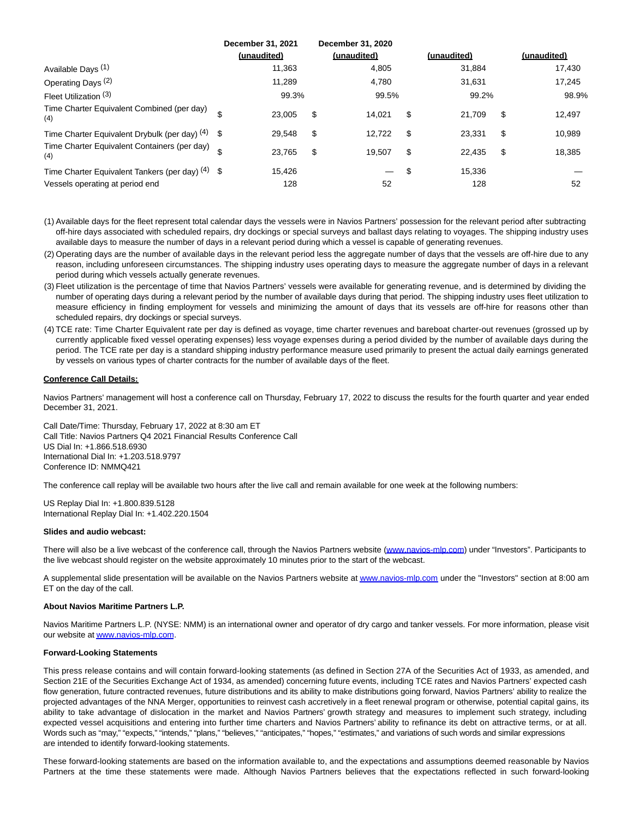|                                                     | December 31, 2021<br>(unaudited) |        | December 31, 2020<br>(unaudited) | (unaudited)  |    | (unaudited) |
|-----------------------------------------------------|----------------------------------|--------|----------------------------------|--------------|----|-------------|
| Available Days <sup>(1)</sup>                       |                                  | 11,363 | 4,805                            | 31,884       |    | 17,430      |
| Operating Days <sup>(2)</sup>                       |                                  | 11.289 | 4,780                            | 31,631       |    | 17,245      |
| Fleet Utilization (3)                               |                                  | 99.3%  | 99.5%                            | 99.2%        |    | 98.9%       |
| Time Charter Equivalent Combined (per day)<br>(4)   | \$                               | 23.005 | \$<br>14.021                     | \$<br>21.709 | S  | 12,497      |
| Time Charter Equivalent Drybulk (per day) $(4)$ \$  |                                  | 29.548 | \$<br>12.722                     | \$<br>23.331 | S  | 10,989      |
| Time Charter Equivalent Containers (per day)<br>(4) |                                  | 23.765 | \$<br>19.507                     | \$<br>22.435 | \$ | 18,385      |
| Time Charter Equivalent Tankers (per day) $(4)$ \$  |                                  | 15.426 | —                                | \$<br>15,336 |    |             |
| Vessels operating at period end                     |                                  | 128    | 52                               | 128          |    | 52          |

- (1) Available days for the fleet represent total calendar days the vessels were in Navios Partners' possession for the relevant period after subtracting off-hire days associated with scheduled repairs, dry dockings or special surveys and ballast days relating to voyages. The shipping industry uses available days to measure the number of days in a relevant period during which a vessel is capable of generating revenues.
- (2) Operating days are the number of available days in the relevant period less the aggregate number of days that the vessels are off-hire due to any reason, including unforeseen circumstances. The shipping industry uses operating days to measure the aggregate number of days in a relevant period during which vessels actually generate revenues.
- (3) Fleet utilization is the percentage of time that Navios Partners' vessels were available for generating revenue, and is determined by dividing the number of operating days during a relevant period by the number of available days during that period. The shipping industry uses fleet utilization to measure efficiency in finding employment for vessels and minimizing the amount of days that its vessels are off-hire for reasons other than scheduled repairs, dry dockings or special surveys.
- (4) TCE rate: Time Charter Equivalent rate per day is defined as voyage, time charter revenues and bareboat charter-out revenues (grossed up by currently applicable fixed vessel operating expenses) less voyage expenses during a period divided by the number of available days during the period. The TCE rate per day is a standard shipping industry performance measure used primarily to present the actual daily earnings generated by vessels on various types of charter contracts for the number of available days of the fleet.

# **Conference Call Details:**

Navios Partners' management will host a conference call on Thursday, February 17, 2022 to discuss the results for the fourth quarter and year ended December 31, 2021.

Call Date/Time: Thursday, February 17, 2022 at 8:30 am ET Call Title: Navios Partners Q4 2021 Financial Results Conference Call US Dial In: +1.866.518.6930 International Dial In: +1.203.518.9797 Conference ID: NMMQ421

The conference call replay will be available two hours after the live call and remain available for one week at the following numbers:

US Replay Dial In: +1.800.839.5128 International Replay Dial In: +1.402.220.1504

#### **Slides and audio webcast:**

There will also be a live webcast of the conference call, through the Navios Partners website [\(www.navios-mlp.com\)](https://www.globenewswire.com/Tracker?data=94U6sVziHOaFM1mb6fHxarE4ewPH_WjqtOgdgFWXN93_RTIx2CxURtglJpWSMGaGhytgT0ggbm76wee6u0oFs6a7bIZJ4UIrlbsgP9xm07U=) under "Investors". Participants to the live webcast should register on the website approximately 10 minutes prior to the start of the webcast.

A supplemental slide presentation will be available on the Navios Partners website a[t www.navios-mlp.com u](https://www.globenewswire.com/Tracker?data=94U6sVziHOaFM1mb6fHxas_uHzkfjnLLT7taHfoV6C2tV9w7UQD9bmUvOyPJfSpKkDfMD7WU2hSnWgBup3-htL1jL5jkF04utca9Di-TsqI=)nder the "Investors" section at 8:00 am ET on the day of the call.

#### **About Navios Maritime Partners L.P.**

Navios Maritime Partners L.P. (NYSE: NMM) is an international owner and operator of dry cargo and tanker vessels. For more information, please visit our website a[t www.navios-mlp.com.](https://www.globenewswire.com/Tracker?data=94U6sVziHOaFM1mb6fHxanJuhQ5vTv5gtixx8DHoVwUlToPHxzYzDRA_OJ7ast51pyXz1694UqdmlhiwzgW_fLE07l9mQdjGwCAHAq3Axts=)

#### **Forward-Looking Statements**

This press release contains and will contain forward-looking statements (as defined in Section 27A of the Securities Act of 1933, as amended, and Section 21E of the Securities Exchange Act of 1934, as amended) concerning future events, including TCE rates and Navios Partners' expected cash flow generation, future contracted revenues, future distributions and its ability to make distributions going forward, Navios Partners' ability to realize the projected advantages of the NNA Merger, opportunities to reinvest cash accretively in a fleet renewal program or otherwise, potential capital gains, its ability to take advantage of dislocation in the market and Navios Partners' growth strategy and measures to implement such strategy, including expected vessel acquisitions and entering into further time charters and Navios Partners' ability to refinance its debt on attractive terms, or at all. Words such as "may," "expects," "intends," "plans," "believes," "anticipates," "hopes," "estimates," and variations of such words and similar expressions are intended to identify forward-looking statements.

These forward-looking statements are based on the information available to, and the expectations and assumptions deemed reasonable by Navios Partners at the time these statements were made. Although Navios Partners believes that the expectations reflected in such forward-looking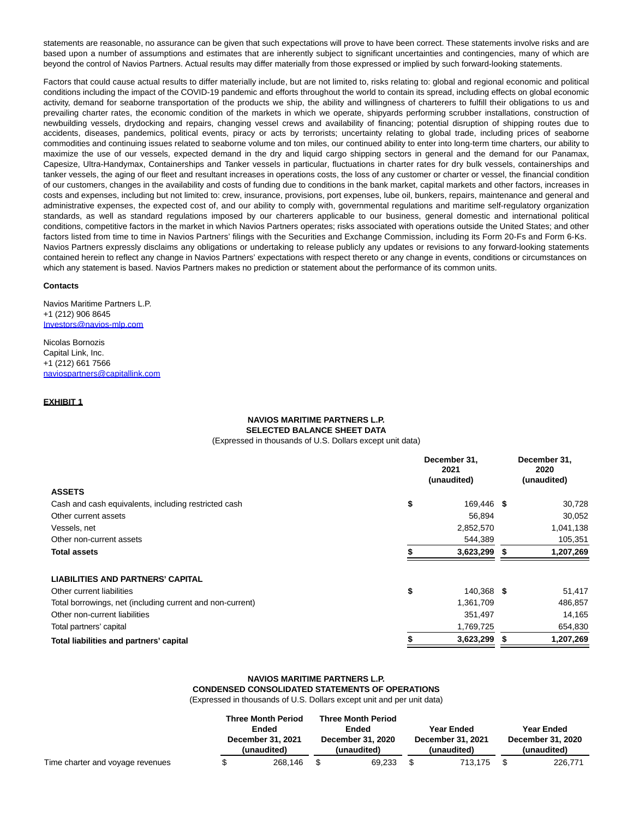statements are reasonable, no assurance can be given that such expectations will prove to have been correct. These statements involve risks and are based upon a number of assumptions and estimates that are inherently subject to significant uncertainties and contingencies, many of which are beyond the control of Navios Partners. Actual results may differ materially from those expressed or implied by such forward-looking statements.

Factors that could cause actual results to differ materially include, but are not limited to, risks relating to: global and regional economic and political conditions including the impact of the COVID-19 pandemic and efforts throughout the world to contain its spread, including effects on global economic activity, demand for seaborne transportation of the products we ship, the ability and willingness of charterers to fulfill their obligations to us and prevailing charter rates, the economic condition of the markets in which we operate, shipyards performing scrubber installations, construction of newbuilding vessels, drydocking and repairs, changing vessel crews and availability of financing; potential disruption of shipping routes due to accidents, diseases, pandemics, political events, piracy or acts by terrorists; uncertainty relating to global trade, including prices of seaborne commodities and continuing issues related to seaborne volume and ton miles, our continued ability to enter into long-term time charters, our ability to maximize the use of our vessels, expected demand in the dry and liquid cargo shipping sectors in general and the demand for our Panamax, Capesize, Ultra-Handymax, Containerships and Tanker vessels in particular, fluctuations in charter rates for dry bulk vessels, containerships and tanker vessels, the aging of our fleet and resultant increases in operations costs, the loss of any customer or charter or vessel, the financial condition of our customers, changes in the availability and costs of funding due to conditions in the bank market, capital markets and other factors, increases in costs and expenses, including but not limited to: crew, insurance, provisions, port expenses, lube oil, bunkers, repairs, maintenance and general and administrative expenses, the expected cost of, and our ability to comply with, governmental regulations and maritime self-regulatory organization standards, as well as standard regulations imposed by our charterers applicable to our business, general domestic and international political conditions, competitive factors in the market in which Navios Partners operates; risks associated with operations outside the United States; and other factors listed from time to time in Navios Partners' filings with the Securities and Exchange Commission, including its Form 20-Fs and Form 6-Ks. Navios Partners expressly disclaims any obligations or undertaking to release publicly any updates or revisions to any forward-looking statements contained herein to reflect any change in Navios Partners' expectations with respect thereto or any change in events, conditions or circumstances on which any statement is based. Navios Partners makes no prediction or statement about the performance of its common units.

#### **Contacts**

Navios Maritime Partners L.P. +1 (212) 906 8645 [Investors@navios-mlp.com](https://www.globenewswire.com/Tracker?data=BzuooMkiOVAgDjOPGd5usVAOsbyXmIuHFl04G35IRxvPQXCfGq0I18XyTX5gTewnlQCwnVSV_epO6XWXy0iGm-nHfR53M5qR0sBQeOsoiCM=)

Nicolas Bornozis Capital Link, Inc. +1 (212) 661 7566 [naviospartners@capitallink.com](https://www.globenewswire.com/Tracker?data=viQ6XJwaeBeiwhaQtMBBQz9o_J9Hdi1V-X9P-g7aFVTicem4eSijH9EBTQluIE_d-StgeFlxqs0xAilewqrl4N4Qsp5iWSNM99DlPAa45tWtZGidFY-3zO4V7xaLGvce)

# **EXHIBIT 1**

# **NAVIOS MARITIME PARTNERS L.P. SELECTED BALANCE SHEET DATA**

(Expressed in thousands of U.S. Dollars except unit data)

|                                                           | December 31.<br>2021<br>(unaudited) | December 31,<br>2020<br>(unaudited) |
|-----------------------------------------------------------|-------------------------------------|-------------------------------------|
| <b>ASSETS</b>                                             |                                     |                                     |
| Cash and cash equivalents, including restricted cash      | \$<br>169.446 \$                    | 30,728                              |
| Other current assets                                      | 56,894                              | 30,052                              |
| Vessels, net                                              | 2,852,570                           | 1,041,138                           |
| Other non-current assets                                  | 544,389                             | 105,351                             |
| <b>Total assets</b>                                       | 3,623,299                           | 1,207,269                           |
| <b>LIABILITIES AND PARTNERS' CAPITAL</b>                  |                                     |                                     |
| Other current liabilities                                 | \$<br>140,368 \$                    | 51,417                              |
| Total borrowings, net (including current and non-current) | 1,361,709                           | 486,857                             |
| Other non-current liabilities                             | 351,497                             | 14,165                              |
| Total partners' capital                                   | 1,769,725                           | 654,830                             |
| Total liabilities and partners' capital                   | 3,623,299                           | 1,207,269                           |

# **NAVIOS MARITIME PARTNERS L.P. CONDENSED CONSOLIDATED STATEMENTS OF OPERATIONS**

(Expressed in thousands of U.S. Dollars except unit and per unit data)

|                                  | <b>Three Month Period</b><br>Ended<br>December 31, 2021<br>(unaudited) |         |     | <b>Three Month Period</b><br>Ended<br>December 31, 2020<br>(unaudited) | Year Ended<br>December 31, 2021<br>(unaudited) | Year Ended<br>December 31, 2020<br>(unaudited) |
|----------------------------------|------------------------------------------------------------------------|---------|-----|------------------------------------------------------------------------|------------------------------------------------|------------------------------------------------|
| Time charter and voyage revenues |                                                                        | 268.146 | \$. | 69.233                                                                 | 713.175                                        | 226,771                                        |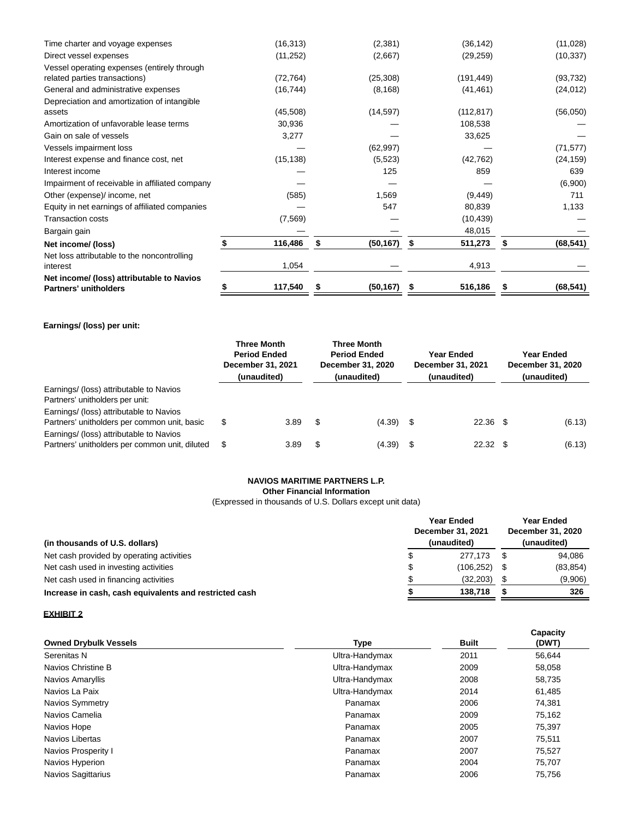| 117,540   |                                               | (50, 167) | \$                                                 | 516,186    | \$                                                                  | (68, 541) |
|-----------|-----------------------------------------------|-----------|----------------------------------------------------|------------|---------------------------------------------------------------------|-----------|
| 1,054     |                                               |           |                                                    | 4,913      |                                                                     |           |
|           |                                               |           |                                                    |            |                                                                     | (68, 541) |
|           |                                               |           |                                                    |            |                                                                     |           |
|           |                                               |           |                                                    |            |                                                                     |           |
|           |                                               |           |                                                    |            |                                                                     | 1,133     |
| (585)     |                                               |           |                                                    | (9, 449)   |                                                                     | 711       |
|           |                                               |           |                                                    |            |                                                                     | (6,900)   |
|           |                                               | 125       |                                                    | 859        |                                                                     | 639       |
| (15, 138) |                                               | (5, 523)  |                                                    | (42, 762)  |                                                                     | (24, 159) |
|           |                                               | (62, 997) |                                                    |            |                                                                     | (71, 577) |
| 3,277     |                                               |           |                                                    | 33,625     |                                                                     |           |
| 30,936    |                                               |           |                                                    | 108,538    |                                                                     |           |
| (45, 508) |                                               | (14, 597) |                                                    | (112, 817) |                                                                     | (56,050)  |
|           |                                               |           |                                                    |            |                                                                     |           |
|           |                                               |           |                                                    |            |                                                                     | (24, 012) |
|           |                                               |           |                                                    |            |                                                                     | (93, 732) |
| (11, 252) |                                               | (2,667)   |                                                    | (29, 259)  |                                                                     | (10, 337) |
| (16, 313) |                                               | (2,381)   |                                                    | (36, 142)  |                                                                     | (11,028)  |
|           | (72, 764)<br>(16, 744)<br>(7, 569)<br>116,486 | \$        | (25, 308)<br>(8, 168)<br>1,569<br>547<br>(50, 167) | S          | (191, 449)<br>(41, 461)<br>80,839<br>(10, 439)<br>48,015<br>511,273 | S.        |

# **Earnings/ (loss) per unit:**

|                                                                                           | <b>Three Month</b><br><b>Period Ended</b><br>December 31, 2021<br>(unaudited) |      | <b>Three Month</b><br><b>Period Ended</b><br>December 31, 2020<br>(unaudited) | Year Ended<br>December 31, 2021<br>(unaudited) |      | Year Ended<br>December 31, 2020<br>(unaudited) |  |        |
|-------------------------------------------------------------------------------------------|-------------------------------------------------------------------------------|------|-------------------------------------------------------------------------------|------------------------------------------------|------|------------------------------------------------|--|--------|
| Earnings/ (loss) attributable to Navios<br>Partners' unitholders per unit:                |                                                                               |      |                                                                               |                                                |      |                                                |  |        |
| Earnings/ (loss) attributable to Navios<br>Partners' unitholders per common unit, basic   | \$                                                                            | 3.89 | S                                                                             | (4.39)                                         | - \$ | $22.36$ \$                                     |  | (6.13) |
| Earnings/ (loss) attributable to Navios<br>Partners' unitholders per common unit, diluted | - \$                                                                          | 3.89 | S                                                                             | (4.39)                                         | - \$ | 22.32                                          |  | (6.13) |

# **NAVIOS MARITIME PARTNERS L.P.**

**Other Financial Information**

(Expressed in thousands of U.S. Dollars except unit data)

| (in thousands of U.S. dollars)                         |    | <b>Year Ended</b><br>December 31, 2021<br>(unaudited) |  |           |
|--------------------------------------------------------|----|-------------------------------------------------------|--|-----------|
| Net cash provided by operating activities              | S  | 277.173                                               |  | 94.086    |
| Net cash used in investing activities                  | \$ | (106, 252)                                            |  | (83, 854) |
| Net cash used in financing activities                  |    | (32, 203)                                             |  | (9,906)   |
| Increase in cash, cash equivalents and restricted cash |    | 138,718                                               |  | 326       |

# **EXHIBIT 2**

| <b>Owned Drybulk Vessels</b> | Type           | <b>Built</b> | Capacity<br>(DWT) |
|------------------------------|----------------|--------------|-------------------|
| Serenitas N                  | Ultra-Handymax | 2011         | 56,644            |
| Navios Christine B           | Ultra-Handymax | 2009         | 58,058            |
| Navios Amaryllis             | Ultra-Handymax | 2008         | 58,735            |
| Navios La Paix               | Ultra-Handymax | 2014         | 61,485            |
| Navios Symmetry              | Panamax        | 2006         | 74,381            |
| Navios Camelia               | Panamax        | 2009         | 75,162            |
| Navios Hope                  | Panamax        | 2005         | 75,397            |
| Navios Libertas              | Panamax        | 2007         | 75.511            |
| Navios Prosperity I          | Panamax        | 2007         | 75,527            |
| Navios Hyperion              | Panamax        | 2004         | 75,707            |
| <b>Navios Sagittarius</b>    | Panamax        | 2006         | 75,756            |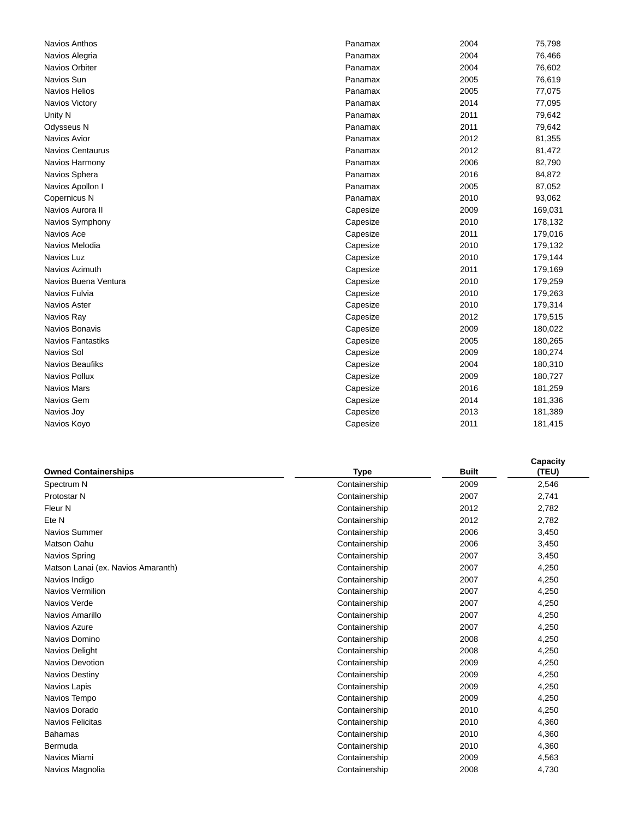| ινανιυς Απιπισς          |
|--------------------------|
| Navios Alegria           |
| Navios Orbiter           |
| Navios Sun               |
| <b>Navios Helios</b>     |
| Navios Victory           |
| Unity N                  |
| Odysseus N               |
| Navios Avior             |
| <b>Navios Centaurus</b>  |
| Navios Harmony           |
| Navios Sphera            |
| Navios Apollon I         |
| Copernicus N             |
| Navios Aurora II         |
| Navios Symphony          |
| Navios Ace               |
| Navios Melodia           |
| Navios Luz               |
| Navios Azimuth           |
| Navios Buena Ventura     |
| Navios Fulvia            |
| Navios Aster             |
| Navios Ray               |
| Navios Bonavis           |
| <b>Navios Fantastiks</b> |
| Navios Sol               |
| Navios Beaufiks          |
| Navios Pollux            |
| <b>Navios Mars</b>       |
| Navios Gem               |
| Navios Joy               |
| Navios Koyo              |

| Navios Anthos        | Panamax  | 2004 | 75,798  |
|----------------------|----------|------|---------|
| Navios Alegria       | Panamax  | 2004 | 76,466  |
| Navios Orbiter       | Panamax  | 2004 | 76,602  |
| Navios Sun           | Panamax  | 2005 | 76,619  |
| <b>Navios Helios</b> | Panamax  | 2005 | 77,075  |
| Navios Victory       | Panamax  | 2014 | 77,095  |
| Unity N              | Panamax  | 2011 | 79,642  |
| Odysseus N           | Panamax  | 2011 | 79,642  |
| Navios Avior         | Panamax  | 2012 | 81,355  |
| Navios Centaurus     | Panamax  | 2012 | 81,472  |
| Navios Harmony       | Panamax  | 2006 | 82,790  |
| Navios Sphera        | Panamax  | 2016 | 84,872  |
| Navios Apollon I     | Panamax  | 2005 | 87,052  |
| Copernicus N         | Panamax  | 2010 | 93,062  |
| Navios Aurora II     | Capesize | 2009 | 169,031 |
| Navios Symphony      | Capesize | 2010 | 178,132 |
| Navios Ace           | Capesize | 2011 | 179,016 |
| Navios Melodia       | Capesize | 2010 | 179,132 |
| Navios Luz           | Capesize | 2010 | 179,144 |
| Navios Azimuth       | Capesize | 2011 | 179,169 |
| Navios Buena Ventura | Capesize | 2010 | 179,259 |
| Navios Fulvia        | Capesize | 2010 | 179,263 |
| Navios Aster         | Capesize | 2010 | 179,314 |
| Navios Ray           | Capesize | 2012 | 179,515 |
| Navios Bonavis       | Capesize | 2009 | 180,022 |
| Navios Fantastiks    | Capesize | 2005 | 180,265 |
| Navios Sol           | Capesize | 2009 | 180,274 |
| Navios Beaufiks      | Capesize | 2004 | 180,310 |
| Navios Pollux        | Capesize | 2009 | 180,727 |
| Navios Mars          | Capesize | 2016 | 181,259 |
| Navios Gem           | Capesize | 2014 | 181,336 |
| Navios Joy           | Capesize | 2013 | 181,389 |
| Navios Koyo          | Capesize | 2011 | 181,415 |
|                      |          |      |         |

|                                    |               |              | Capacity |
|------------------------------------|---------------|--------------|----------|
| <b>Owned Containerships</b>        | Type          | <b>Built</b> | (TEU)    |
| Spectrum N                         | Containership | 2009         | 2,546    |
| Protostar N                        | Containership | 2007         | 2,741    |
| Fleur N                            | Containership | 2012         | 2,782    |
| Ete N                              | Containership | 2012         | 2,782    |
| Navios Summer                      | Containership | 2006         | 3,450    |
| Matson Oahu                        | Containership | 2006         | 3,450    |
| Navios Spring                      | Containership | 2007         | 3,450    |
| Matson Lanai (ex. Navios Amaranth) | Containership | 2007         | 4,250    |
| Navios Indigo                      | Containership | 2007         | 4,250    |
| Navios Vermilion                   | Containership | 2007         | 4,250    |
| Navios Verde                       | Containership | 2007         | 4,250    |
| Navios Amarillo                    | Containership | 2007         | 4,250    |
| Navios Azure                       | Containership | 2007         | 4,250    |
| Navios Domino                      | Containership | 2008         | 4,250    |
| Navios Delight                     | Containership | 2008         | 4,250    |
| <b>Navios Devotion</b>             | Containership | 2009         | 4,250    |
| Navios Destiny                     | Containership | 2009         | 4,250    |
| Navios Lapis                       | Containership | 2009         | 4,250    |
| Navios Tempo                       | Containership | 2009         | 4,250    |
| Navios Dorado                      | Containership | 2010         | 4,250    |
| <b>Navios Felicitas</b>            | Containership | 2010         | 4,360    |
| <b>Bahamas</b>                     | Containership | 2010         | 4,360    |
| Bermuda                            | Containership | 2010         | 4,360    |
| Navios Miami                       | Containership | 2009         | 4,563    |
| Navios Magnolia                    | Containership | 2008         | 4,730    |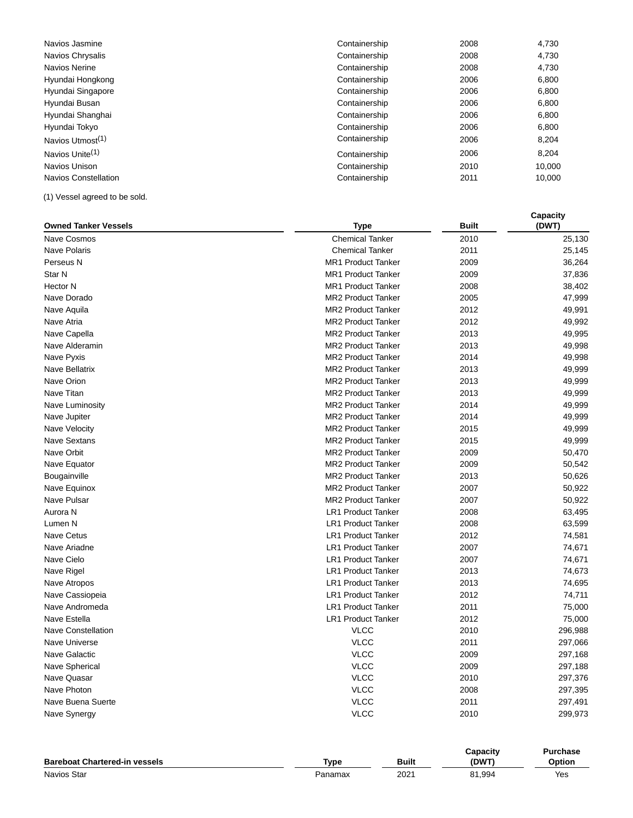| Navios Jasmine               | Containership | 2008 | 4,730  |
|------------------------------|---------------|------|--------|
| Navios Chrysalis             | Containership | 2008 | 4,730  |
| Navios Nerine                | Containership | 2008 | 4,730  |
| Hyundai Hongkong             | Containership | 2006 | 6,800  |
| Hyundai Singapore            | Containership | 2006 | 6,800  |
| Hyundai Busan                | Containership | 2006 | 6,800  |
| Hyundai Shanghai             | Containership | 2006 | 6.800  |
| Hyundai Tokyo                | Containership | 2006 | 6,800  |
| Navios Utmost <sup>(1)</sup> | Containership | 2006 | 8,204  |
| Navios Unite <sup>(1)</sup>  | Containership | 2006 | 8.204  |
| Navios Unison                | Containership | 2010 | 10,000 |
| Navios Constellation         | Containership | 2011 | 10,000 |

**Capacity**

(1) Vessel agreed to be sold.

| <b>Owned Tanker Vessels</b> | Type                      | <b>Built</b> | (DWT)   |  |  |
|-----------------------------|---------------------------|--------------|---------|--|--|
| Nave Cosmos                 | <b>Chemical Tanker</b>    | 2010         | 25,130  |  |  |
| <b>Nave Polaris</b>         | <b>Chemical Tanker</b>    | 2011         | 25,145  |  |  |
| Perseus N                   | <b>MR1 Product Tanker</b> | 2009         | 36,264  |  |  |
| Star N                      | <b>MR1 Product Tanker</b> | 2009         | 37,836  |  |  |
| <b>Hector N</b>             | <b>MR1 Product Tanker</b> | 2008         | 38,402  |  |  |
| Nave Dorado                 | <b>MR2 Product Tanker</b> | 2005         | 47,999  |  |  |
| Nave Aquila                 | <b>MR2 Product Tanker</b> | 2012         | 49,991  |  |  |
| Nave Atria                  | <b>MR2 Product Tanker</b> | 2012         | 49,992  |  |  |
| Nave Capella                | <b>MR2 Product Tanker</b> | 2013         | 49,995  |  |  |
| Nave Alderamin              | <b>MR2 Product Tanker</b> | 2013         | 49,998  |  |  |
| Nave Pyxis                  | <b>MR2 Product Tanker</b> | 2014         | 49,998  |  |  |
| Nave Bellatrix              | <b>MR2 Product Tanker</b> | 2013         | 49,999  |  |  |
| Nave Orion                  | <b>MR2 Product Tanker</b> | 2013         | 49,999  |  |  |
| Nave Titan                  | <b>MR2 Product Tanker</b> | 2013         | 49,999  |  |  |
| Nave Luminosity             | <b>MR2 Product Tanker</b> | 2014         | 49,999  |  |  |
| Nave Jupiter                | <b>MR2 Product Tanker</b> | 2014         | 49,999  |  |  |
| Nave Velocity               | MR2 Product Tanker        | 2015         | 49,999  |  |  |
| <b>Nave Sextans</b>         | <b>MR2 Product Tanker</b> | 2015         | 49,999  |  |  |
| <b>Nave Orbit</b>           | <b>MR2 Product Tanker</b> | 2009         | 50,470  |  |  |
| Nave Equator                | <b>MR2 Product Tanker</b> | 2009         | 50,542  |  |  |
| Bougainville                | <b>MR2 Product Tanker</b> | 2013         | 50,626  |  |  |
| Nave Equinox                | <b>MR2 Product Tanker</b> | 2007         | 50,922  |  |  |
| Nave Pulsar                 | <b>MR2 Product Tanker</b> | 2007         | 50,922  |  |  |
| Aurora N                    | <b>LR1 Product Tanker</b> | 2008         | 63,495  |  |  |
| Lumen N                     | <b>LR1 Product Tanker</b> | 2008         | 63,599  |  |  |
| <b>Nave Cetus</b>           | <b>LR1 Product Tanker</b> | 2012         | 74,581  |  |  |
| Nave Ariadne                | <b>LR1 Product Tanker</b> | 2007         | 74,671  |  |  |
| Nave Cielo                  | <b>LR1 Product Tanker</b> | 2007         | 74,671  |  |  |
| Nave Rigel                  | <b>LR1 Product Tanker</b> | 2013         | 74,673  |  |  |
| Nave Atropos                | <b>LR1 Product Tanker</b> | 2013         | 74,695  |  |  |
| Nave Cassiopeia             | <b>LR1 Product Tanker</b> | 2012         | 74,711  |  |  |
| Nave Andromeda              | <b>LR1 Product Tanker</b> | 2011         | 75,000  |  |  |
| Nave Estella                | <b>LR1 Product Tanker</b> | 2012         | 75,000  |  |  |
| <b>Nave Constellation</b>   | <b>VLCC</b>               | 2010         | 296,988 |  |  |
| Nave Universe               | <b>VLCC</b>               | 2011         | 297,066 |  |  |
| Nave Galactic               | <b>VLCC</b>               | 2009         | 297,168 |  |  |
| <b>Nave Spherical</b>       | <b>VLCC</b>               | 2009         | 297,188 |  |  |
| Nave Quasar                 | <b>VLCC</b>               | 2010         | 297,376 |  |  |
| Nave Photon                 | <b>VLCC</b>               | 2008         | 297,395 |  |  |
| Nave Buena Suerte           | <b>VLCC</b>               | 2011         | 297,491 |  |  |
| Nave Synergy                | <b>VLCC</b>               | 2010         | 299,973 |  |  |
|                             |                           |              |         |  |  |

|                                      |         |              | Capacitv | Purchase |
|--------------------------------------|---------|--------------|----------|----------|
| <b>Bareboat Chartered-in vessels</b> | Tvpe    | <b>Built</b> | (DWT)    | Option   |
| <b>Navios Star</b>                   | Panamax | 2021         | 81,994   | Yes      |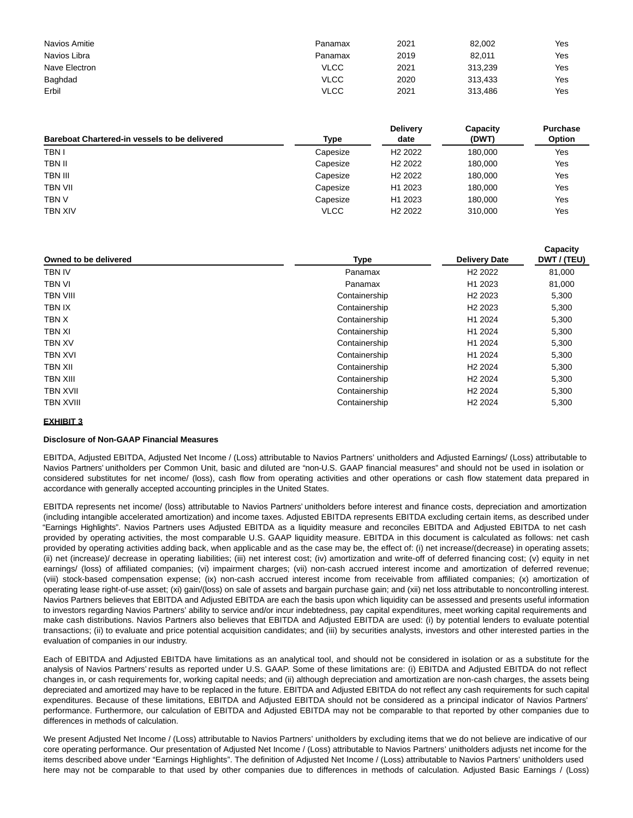| Navios Amitie | Panamax     | 2021 | 82,002  | Yes |
|---------------|-------------|------|---------|-----|
| Navios Libra  | Panamax     | 2019 | 82.011  | Yes |
| Nave Electron | <b>VLCC</b> | 2021 | 313.239 | Yes |
| Baghdad       | <b>VLCC</b> | 2020 | 313.433 | Yes |
| Erbil         | VLCC        | 2021 | 313.486 | Yes |

| <b>Bareboat Chartered-in vessels to be delivered</b> | Type        | <b>Delivery</b><br>date | Capacity<br>(DWT) | <b>Purchase</b><br>Option |
|------------------------------------------------------|-------------|-------------------------|-------------------|---------------------------|
| <b>TBN I</b>                                         | Capesize    | H <sub>2</sub> 2022     | 180.000           | Yes                       |
| TBN II                                               | Capesize    | H <sub>2</sub> 2022     | 180.000           | Yes                       |
| TBN III                                              | Capesize    | H <sub>2</sub> 2022     | 180.000           | Yes                       |
| TBN VII                                              | Capesize    | H <sub>1</sub> 2023     | 180.000           | Yes                       |
| tbn v                                                | Capesize    | H <sub>1</sub> 2023     | 180.000           | Yes                       |
| TBN XIV                                              | <b>VLCC</b> | H <sub>2</sub> 2022     | 310,000           | Yes                       |

| Owned to be delivered | Type          | <b>Delivery Date</b> | Capacity<br>DWT / (TEU) |  |
|-----------------------|---------------|----------------------|-------------------------|--|
| <b>TBN IV</b>         | Panamax       | H <sub>2</sub> 2022  | 81,000                  |  |
| TBN VI                | Panamax       | H1 2023              | 81,000                  |  |
| <b>TBN VIII</b>       | Containership | H <sub>2</sub> 2023  | 5,300                   |  |
| TBN IX                | Containership | H <sub>2</sub> 2023  | 5,300                   |  |
| TBN X                 | Containership | H1 2024              | 5,300                   |  |
| TBN XI                | Containership | H1 2024              | 5,300                   |  |
| <b>TBN XV</b>         | Containership | H1 2024              | 5,300                   |  |
| TBN XVI               | Containership | H1 2024              | 5,300                   |  |
| TBN XII               | Containership | H <sub>2</sub> 2024  | 5,300                   |  |
| <b>TBN XIII</b>       | Containership | H <sub>2</sub> 2024  | 5,300                   |  |
| TBN XVII              | Containership | H <sub>2</sub> 2024  | 5,300                   |  |
| <b>TBN XVIII</b>      | Containership | H <sub>2</sub> 2024  | 5,300                   |  |

# **EXHIBIT 3**

# **Disclosure of Non-GAAP Financial Measures**

EBITDA, Adjusted EBITDA, Adjusted Net Income / (Loss) attributable to Navios Partners' unitholders and Adjusted Earnings/ (Loss) attributable to Navios Partners' unitholders per Common Unit, basic and diluted are "non-U.S. GAAP financial measures" and should not be used in isolation or considered substitutes for net income/ (loss), cash flow from operating activities and other operations or cash flow statement data prepared in accordance with generally accepted accounting principles in the United States.

EBITDA represents net income/ (loss) attributable to Navios Partners' unitholders before interest and finance costs, depreciation and amortization (including intangible accelerated amortization) and income taxes. Adjusted EBITDA represents EBITDA excluding certain items, as described under "Earnings Highlights". Navios Partners uses Adjusted EBITDA as a liquidity measure and reconciles EBITDA and Adjusted EBITDA to net cash provided by operating activities, the most comparable U.S. GAAP liquidity measure. EBITDA in this document is calculated as follows: net cash provided by operating activities adding back, when applicable and as the case may be, the effect of: (i) net increase/(decrease) in operating assets; (ii) net (increase)/ decrease in operating liabilities; (iii) net interest cost; (iv) amortization and write-off of deferred financing cost; (v) equity in net earnings/ (loss) of affiliated companies; (vi) impairment charges; (vii) non-cash accrued interest income and amortization of deferred revenue; (viii) stock-based compensation expense; (ix) non-cash accrued interest income from receivable from affiliated companies; (x) amortization of operating lease right-of-use asset; (xi) gain/(loss) on sale of assets and bargain purchase gain; and (xii) net loss attributable to noncontrolling interest. Navios Partners believes that EBITDA and Adjusted EBITDA are each the basis upon which liquidity can be assessed and presents useful information to investors regarding Navios Partners' ability to service and/or incur indebtedness, pay capital expenditures, meet working capital requirements and make cash distributions. Navios Partners also believes that EBITDA and Adjusted EBITDA are used: (i) by potential lenders to evaluate potential transactions; (ii) to evaluate and price potential acquisition candidates; and (iii) by securities analysts, investors and other interested parties in the evaluation of companies in our industry.

Each of EBITDA and Adjusted EBITDA have limitations as an analytical tool, and should not be considered in isolation or as a substitute for the analysis of Navios Partners' results as reported under U.S. GAAP. Some of these limitations are: (i) EBITDA and Adjusted EBITDA do not reflect changes in, or cash requirements for, working capital needs; and (ii) although depreciation and amortization are non-cash charges, the assets being depreciated and amortized may have to be replaced in the future. EBITDA and Adjusted EBITDA do not reflect any cash requirements for such capital expenditures. Because of these limitations, EBITDA and Adjusted EBITDA should not be considered as a principal indicator of Navios Partners' performance. Furthermore, our calculation of EBITDA and Adjusted EBITDA may not be comparable to that reported by other companies due to differences in methods of calculation.

We present Adjusted Net Income / (Loss) attributable to Navios Partners' unitholders by excluding items that we do not believe are indicative of our core operating performance. Our presentation of Adjusted Net Income / (Loss) attributable to Navios Partners' unitholders adjusts net income for the items described above under "Earnings Highlights". The definition of Adjusted Net Income / (Loss) attributable to Navios Partners' unitholders used here may not be comparable to that used by other companies due to differences in methods of calculation. Adjusted Basic Earnings / (Loss)